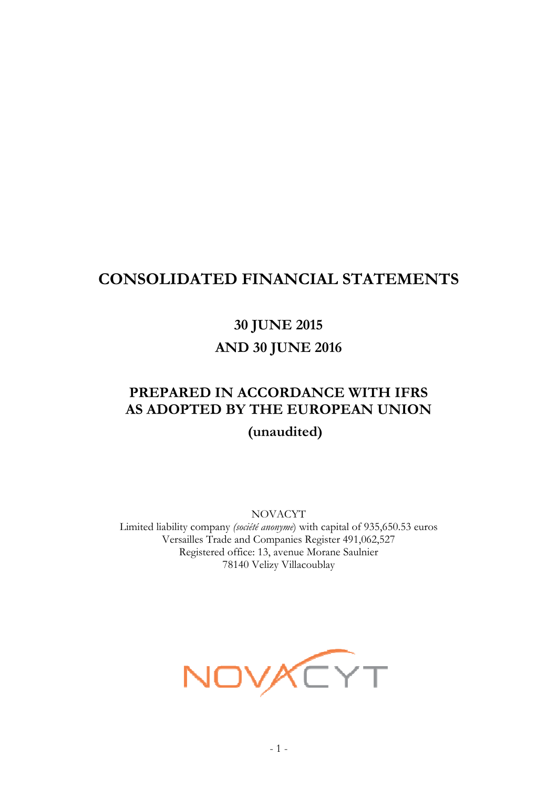## **CONSOLIDATED FINANCIAL STATEMENTS**

**30 JUNE 2015 AND 30 JUNE 2016** 

# **PREPARED IN ACCORDANCE WITH IFRS AS ADOPTED BY THE EUROPEAN UNION**

**(unaudited)** 

NOVACYT

Limited liability company *(société anonyme*) with capital of 935,650.53 euros Versailles Trade and Companies Register 491,062,527 Registered office: 13, avenue Morane Saulnier 78140 Velizy Villacoublay

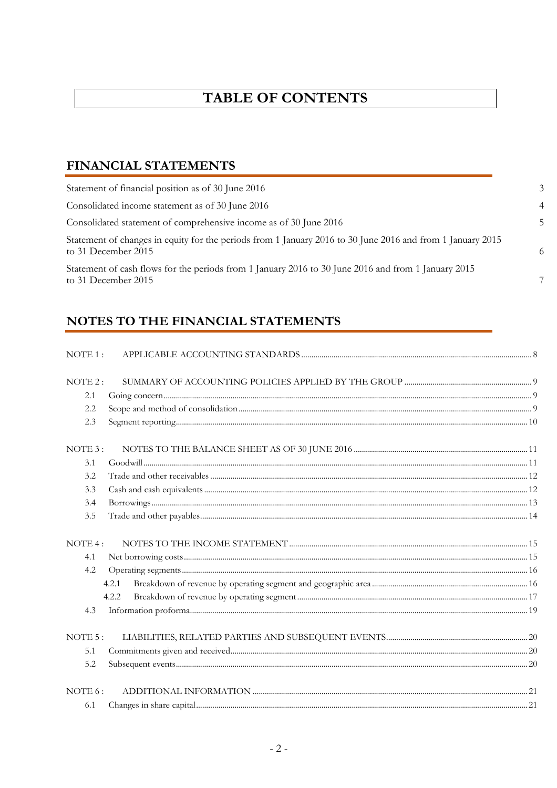## **TABLE OF CONTENTS**

## FINANCIAL STATEMENTS

| Statement of financial position as of 30 June 2016                                                                                |
|-----------------------------------------------------------------------------------------------------------------------------------|
| Consolidated income statement as of 30 June 2016                                                                                  |
| Consolidated statement of comprehensive income as of 30 June 2016                                                                 |
| Statement of changes in equity for the periods from 1 January 2016 to 30 June 2016 and from 1 January 2015<br>to 31 December 2015 |
| Statement of cash flows for the periods from 1 January 2016 to 30 June 2016 and from 1 January 2015                               |

## NOTES TO THE FINANCIAL STATEMENTS

| NOTE 1: |  |
|---------|--|
|         |  |
| NOTE 2: |  |
| 2.1     |  |
| 2.2     |  |
| 2.3     |  |
| NOTE 3: |  |
| 3.1     |  |
| 3.2     |  |
| 3.3     |  |
| 3.4     |  |
| 3.5     |  |
| NOTE4:  |  |
| 4.1     |  |
| 4.2     |  |
| 4.2.1   |  |
| 4.2.2   |  |
| 4.3     |  |
| NOTE.5: |  |
| 5.1     |  |
| 5.2     |  |
| NOTE 6: |  |
| 6.1     |  |
|         |  |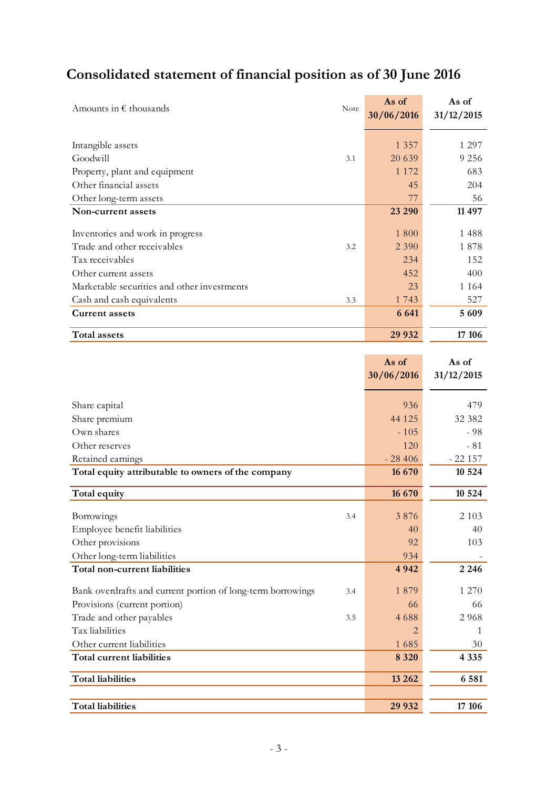# **Consolidated statement of financial position as of 30 June 2016**

| Amounts in $\epsilon$ thousands<br>Note     | As of<br>30/06/2016 | As of<br>31/12/2015 |
|---------------------------------------------|---------------------|---------------------|
|                                             |                     |                     |
| Intangible assets                           | 1 3 5 7             | 1 297               |
| Goodwill<br>3.1                             | 20 639              | 9 2 5 6             |
| Property, plant and equipment               | 1 1 7 2             | 683                 |
| Other financial assets                      | 45                  | 204                 |
| Other long-term assets                      | 77                  | 56                  |
| Non-current assets                          | 23 290              | 11 497              |
|                                             |                     |                     |
| Inventories and work in progress            | 1 800               | 1488                |
| Trade and other receivables<br>3.2          | 2 3 9 0             | 1878                |
| Tax receivables                             | 234                 | 152                 |
| Other current assets                        | 452                 | 400                 |
| Marketable securities and other investments | 23                  | 1 1 6 4             |
| Cash and cash equivalents<br>3.3            | 1 7 4 3             | 527                 |
| <b>Current assets</b>                       | 6 6 4 1             | 5 6 0 9             |
| <b>Total assets</b>                         | 29 9 32             | 17 10 6             |

|                                                                    | As of          | As of      |
|--------------------------------------------------------------------|----------------|------------|
|                                                                    | 30/06/2016     | 31/12/2015 |
|                                                                    |                |            |
| Share capital                                                      | 936            | 479        |
| Share premium                                                      | 44 1 25        | 32 382     |
| Own shares                                                         | $-105$         | $-98$      |
| Other reserves                                                     | 120            | $-81$      |
| Retained earnings                                                  | $-28406$       | $-22157$   |
| Total equity attributable to owners of the company                 | 16 670         | 10 5 24    |
| Total equity                                                       | 16 670         | 10 5 24    |
|                                                                    |                |            |
| Borrowings<br>3.4                                                  | 3876           | 2 1 0 3    |
| Employee benefit liabilities                                       | 40             | 40         |
| Other provisions                                                   | 92             | 103        |
| Other long-term liabilities                                        | 934            |            |
| Total non-current liabilities                                      | 4942           | 2 2 4 6    |
| Bank overdrafts and current portion of long-term borrowings<br>3.4 | 1879           | 1 270      |
| Provisions (current portion)                                       | 66             | 66         |
| Trade and other payables<br>3.5                                    | 4688           | 2968       |
| Tax liabilities                                                    | $\overline{2}$ | 1          |
| Other current liabilities                                          | 1685           | 30         |
| <b>Total current liabilities</b>                                   | 8 3 2 0        | 4 3 3 5    |
| <b>Total liabilities</b>                                           | 13 26 2        | 6 5 8 1    |
|                                                                    |                |            |
| <b>Total liabilities</b>                                           | 29 932         | 17 10 6    |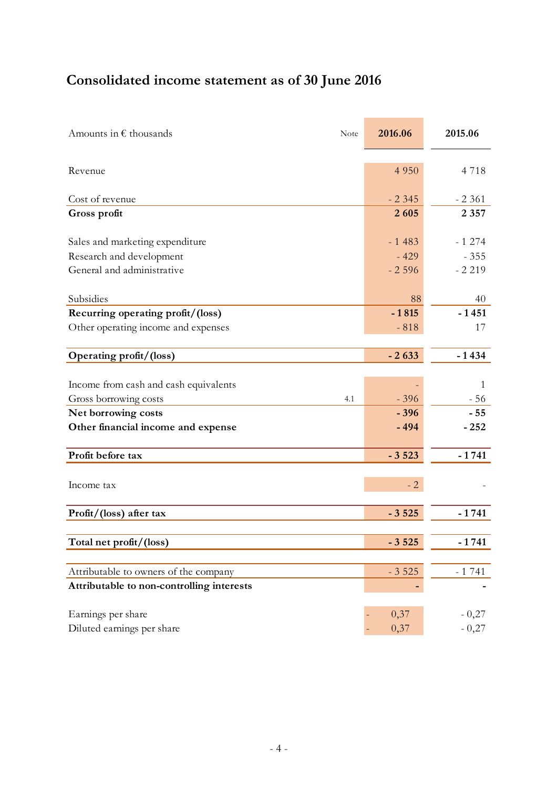# **Consolidated income statement as of 30 June 2016**

| Amounts in $\epsilon$ thousands           | Note | 2016.06 | 2015.06 |
|-------------------------------------------|------|---------|---------|
| Revenue                                   |      | 4 9 5 0 | 4718    |
| Cost of revenue                           |      | $-2345$ | $-2361$ |
| Gross profit                              |      | 2605    | 2 3 5 7 |
| Sales and marketing expenditure           |      | $-1483$ | $-1274$ |
| Research and development                  |      | $-429$  | $-355$  |
| General and administrative                |      | $-2596$ | $-2219$ |
| Subsidies                                 |      | 88      | 40      |
| Recurring operating profit/(loss)         |      | $-1815$ | $-1451$ |
| Other operating income and expenses       |      | $-818$  | 17      |
|                                           |      |         |         |
| Operating profit/(loss)                   |      | $-2633$ | $-1434$ |
|                                           |      |         |         |
| Income from cash and cash equivalents     |      |         | 1       |
| Gross borrowing costs                     | 4.1  | $-396$  | $-56$   |
| Net borrowing costs                       |      | $-396$  | $-55$   |
| Other financial income and expense        |      | $-494$  | $-252$  |
| Profit before tax                         |      | $-3523$ | $-1741$ |
|                                           |      |         |         |
| Income tax                                |      | $-2$    |         |
| Profit/(loss) after tax                   |      | $-3525$ | $-1741$ |
|                                           |      |         |         |
| Total net profit/(loss)                   |      | $-3525$ | $-1741$ |
| Attributable to owners of the company     |      | $-3525$ | $-1741$ |
| Attributable to non-controlling interests |      |         |         |
|                                           |      |         |         |
| Earnings per share                        |      | 0,37    | $-0,27$ |
| Diluted earnings per share                |      | 0,37    | $-0,27$ |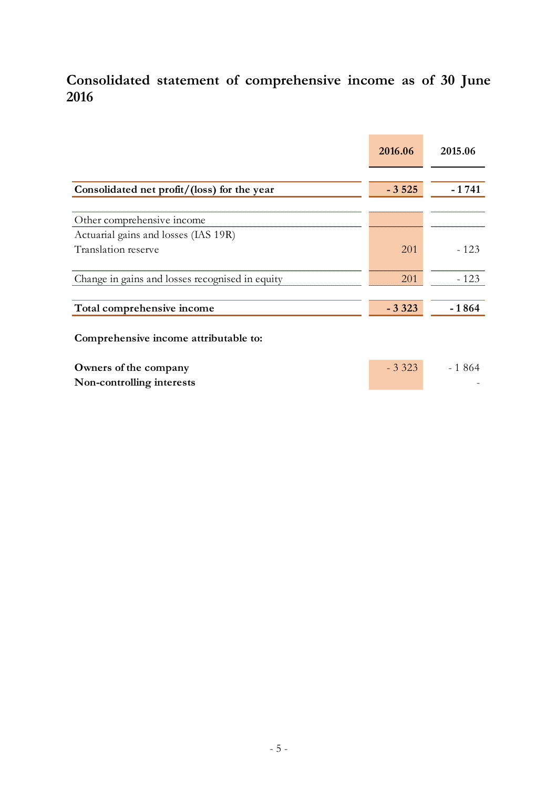## **Consolidated statement of comprehensive income as of 30 June 2016**

|                                                             | 2016.06 | 2015.06  |
|-------------------------------------------------------------|---------|----------|
| Consolidated net profit/(loss) for the year                 | $-3525$ | $-1741$  |
| Other comprehensive income                                  |         |          |
| Actuarial gains and losses (IAS 19R)<br>Translation reserve | 201     | $-123$   |
| Change in gains and losses recognised in equity             | 201     | $-123$   |
| Total comprehensive income                                  | $-3323$ | $-1864$  |
| Comprehensive income attributable to:                       |         |          |
| Owners of the company<br>Non-controlling interests          | $-3323$ | $-1.864$ |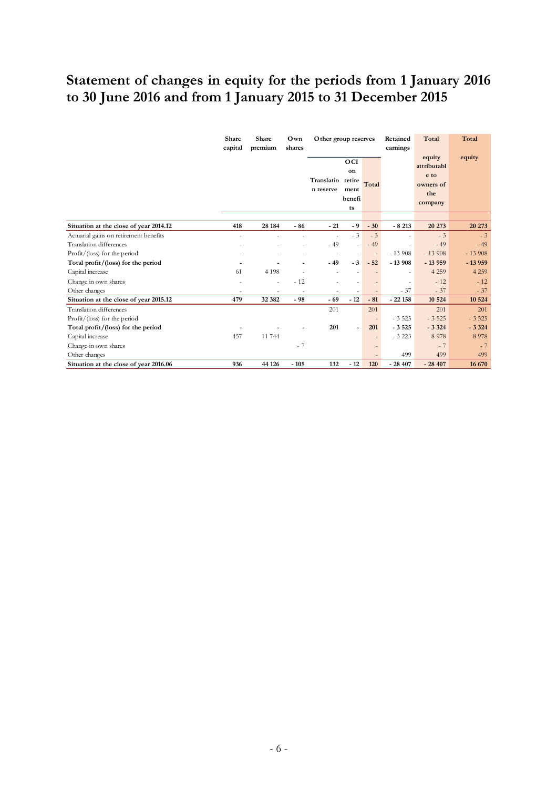## **Statement of changes in equity for the periods from 1 January 2016 to 30 June 2016 and from 1 January 2015 to 31 December 2015**

|                                        | Share<br>capital         | Share<br>premium | Own<br>shares            | Other group reserves    |                                             | Retained<br>earnings     |                          | Total                                                        | Total    |
|----------------------------------------|--------------------------|------------------|--------------------------|-------------------------|---------------------------------------------|--------------------------|--------------------------|--------------------------------------------------------------|----------|
|                                        |                          |                  |                          | Translatio<br>n reserve | OCI<br>on<br>retire<br>ment<br>benefi<br>ts | Total                    |                          | equity<br>attributabl<br>e to<br>owners of<br>the<br>company | equity   |
|                                        |                          |                  |                          |                         |                                             |                          |                          |                                                              |          |
| Situation at the close of year 2014.12 | 418                      | 28 184           | $-86$                    | $-21$                   | - 9                                         | $-30$                    | $-8213$                  | 20 273                                                       | 20 273   |
| Actuarial gains on retirement benefits | $\overline{a}$           |                  |                          | ٠                       | $-3$                                        | $-3$                     |                          | $-3$                                                         | $-3$     |
| <b>Translation</b> differences         |                          |                  |                          | $-49$                   | ÷,                                          | $-49$                    | ٠                        | $-49$                                                        | $-49$    |
| Profit/(loss) for the period           |                          |                  |                          |                         |                                             | $\overline{\phantom{a}}$ | $-13908$                 | $-13908$                                                     | $-13908$ |
| Total profit/(loss) for the period     |                          |                  |                          | $-49$                   | $-3$                                        | $-52$                    | $-13908$                 | $-13959$                                                     | $-13959$ |
| Capital increase                       | 61                       | 4 1 9 8          |                          |                         | $\overline{a}$                              |                          | $\overline{\phantom{0}}$ | 4 2 5 9                                                      | 4 2 5 9  |
| Change in own shares                   |                          |                  | $-12$                    |                         |                                             |                          | $\overline{a}$           | $-12$                                                        | $-12$    |
| Other changes                          | $\overline{\phantom{a}}$ |                  | $\overline{\phantom{a}}$ |                         | $\overline{a}$                              |                          | $-37$                    | $-37$                                                        | $-37$    |
| Situation at the close of year 2015.12 | 479                      | 32 382           | $-98$                    | $-69$                   | $-12$                                       | $-81$                    | $-22158$                 | 10 5 24                                                      | 10 5 24  |
| <b>Translation</b> differences         |                          |                  |                          | 201                     |                                             | 201                      |                          | 201                                                          | 201      |
| Profit/(loss) for the period           |                          |                  |                          |                         |                                             | $\overline{\phantom{a}}$ | $-3525$                  | $-3525$                                                      | $-3525$  |
| Total profit/(loss) for the period     |                          |                  |                          | 201                     |                                             | 201                      | $-3525$                  | $-3324$                                                      | $-3324$  |
| Capital increase                       | 457                      | 11 744           |                          |                         |                                             | $\overline{a}$           | $-3223$                  | 8978                                                         | 8978     |
| Change in own shares                   |                          |                  | $-7$                     |                         |                                             |                          |                          | $-7$                                                         | $-7$     |
| Other changes                          |                          |                  |                          |                         |                                             |                          | 499                      | 499                                                          | 499      |
| Situation at the close of year 2016.06 | 936                      | 44 126           | $-105$                   | 132                     | $-12$                                       | 120                      | $-28407$                 | $-28407$                                                     | 16 670   |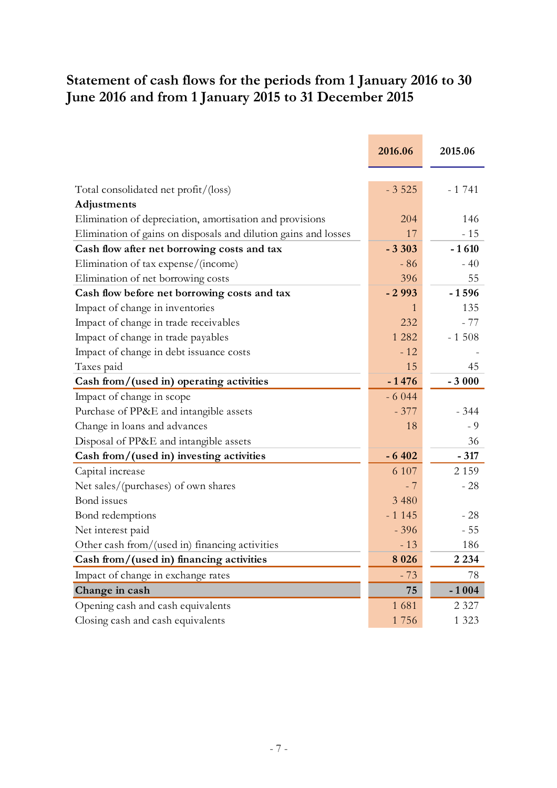## **Statement of cash flows for the periods from 1 January 2016 to 30 June 2016 and from 1 January 2015 to 31 December 2015**

|                                                                 | 2016.06 | 2015.06 |
|-----------------------------------------------------------------|---------|---------|
|                                                                 |         |         |
| Total consolidated net profit/(loss)                            | $-3525$ | $-1741$ |
| Adjustments                                                     |         |         |
| Elimination of depreciation, amortisation and provisions        | 204     | 146     |
| Elimination of gains on disposals and dilution gains and losses | 17      | $-15$   |
| Cash flow after net borrowing costs and tax                     | $-3303$ | $-1610$ |
| Elimination of tax expense/(income)                             | $-86$   | $-40$   |
| Elimination of net borrowing costs                              | 396     | 55      |
| Cash flow before net borrowing costs and tax                    | $-2993$ | $-1596$ |
| Impact of change in inventories                                 | 1       | 135     |
| Impact of change in trade receivables                           | 232     | - 77    |
| Impact of change in trade payables                              | 1 2 8 2 | $-1508$ |
| Impact of change in debt issuance costs                         | $-12$   |         |
| Taxes paid                                                      | 15      | 45      |
| Cash from/(used in) operating activities                        | $-1476$ | $-3000$ |
| Impact of change in scope                                       | $-6044$ |         |
| Purchase of PP&E and intangible assets                          | $-377$  | $-344$  |
| Change in loans and advances                                    | 18      | $-9$    |
| Disposal of PP&E and intangible assets                          |         | 36      |
| Cash from/(used in) investing activities                        | $-6402$ | $-317$  |
| Capital increase                                                | 6 107   | 2 1 5 9 |
| Net sales/(purchases) of own shares                             | $-7$    | $-28$   |
| Bond issues                                                     | 3 4 8 0 |         |
| Bond redemptions                                                | $-1145$ | $-28$   |
| Net interest paid                                               | $-396$  | $-55$   |
| Other cash from/(used in) financing activities                  | $-13$   | 186     |
| Cash from/(used in) financing activities                        | 8 0 2 6 | 2 2 3 4 |
| Impact of change in exchange rates                              | $-73$   | 78      |
| Change in cash                                                  | 75      | $-1004$ |
| Opening cash and cash equivalents                               | 1681    | 2 3 2 7 |
| Closing cash and cash equivalents                               | 1756    | 1 3 2 3 |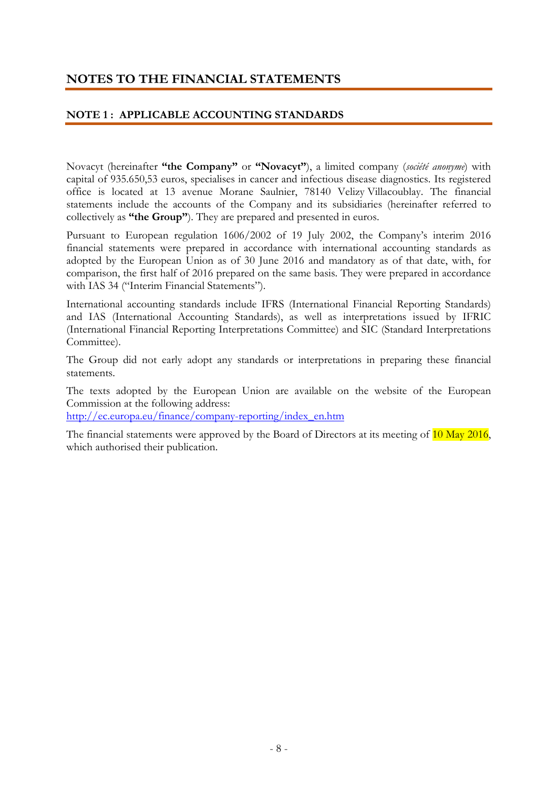## **NOTES TO THE FINANCIAL STATEMENTS**

#### **NOTE 1 : APPLICABLE ACCOUNTING STANDARDS**

Novacyt (hereinafter **"the Company"** or **"Novacyt"**), a limited company (*société anonyme*) with capital of 935.650,53 euros, specialises in cancer and infectious disease diagnostics. Its registered office is located at 13 avenue Morane Saulnier, 78140 Velizy Villacoublay. The financial statements include the accounts of the Company and its subsidiaries (hereinafter referred to collectively as **"the Group"**). They are prepared and presented in euros.

Pursuant to European regulation 1606/2002 of 19 July 2002, the Company's interim 2016 financial statements were prepared in accordance with international accounting standards as adopted by the European Union as of 30 June 2016 and mandatory as of that date, with, for comparison, the first half of 2016 prepared on the same basis. They were prepared in accordance with IAS 34 ("Interim Financial Statements").

International accounting standards include IFRS (International Financial Reporting Standards) and IAS (International Accounting Standards), as well as interpretations issued by IFRIC (International Financial Reporting Interpretations Committee) and SIC (Standard Interpretations Committee).

The Group did not early adopt any standards or interpretations in preparing these financial statements.

The texts adopted by the European Union are available on the website of the European Commission at the following address:

http://ec.europa.eu/finance/company-reporting/index\_en.htm

The financial statements were approved by the Board of Directors at its meeting of  $10$  May 2016, which authorised their publication.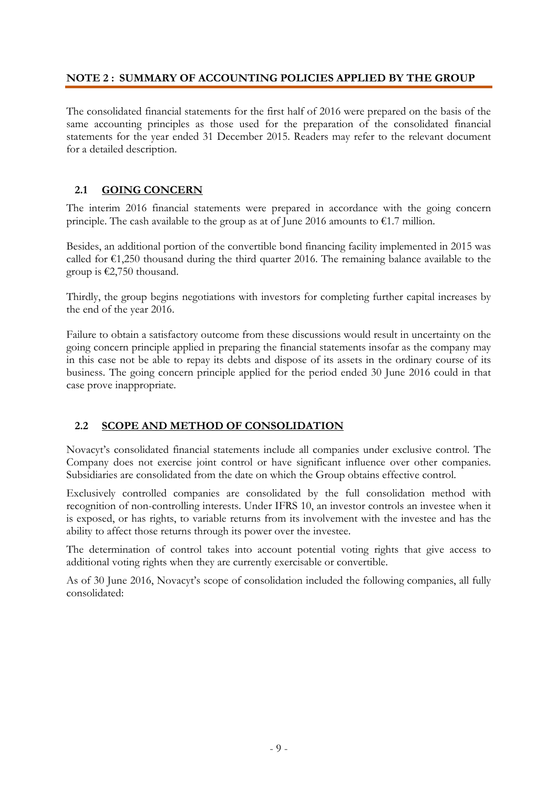#### **NOTE 2 : SUMMARY OF ACCOUNTING POLICIES APPLIED BY THE GROUP**

The consolidated financial statements for the first half of 2016 were prepared on the basis of the same accounting principles as those used for the preparation of the consolidated financial statements for the year ended 31 December 2015. Readers may refer to the relevant document for a detailed description.

#### **2.1 GOING CONCERN**

The interim 2016 financial statements were prepared in accordance with the going concern principle. The cash available to the group as at of June 2016 amounts to  $\epsilon$ 1.7 million.

Besides, an additional portion of the convertible bond financing facility implemented in 2015 was called for  $\epsilon$ 1,250 thousand during the third quarter 2016. The remaining balance available to the group is €2,750 thousand.

Thirdly, the group begins negotiations with investors for completing further capital increases by the end of the year 2016.

Failure to obtain a satisfactory outcome from these discussions would result in uncertainty on the going concern principle applied in preparing the financial statements insofar as the company may in this case not be able to repay its debts and dispose of its assets in the ordinary course of its business. The going concern principle applied for the period ended 30 June 2016 could in that case prove inappropriate.

#### **2.2 SCOPE AND METHOD OF CONSOLIDATION**

Novacyt's consolidated financial statements include all companies under exclusive control. The Company does not exercise joint control or have significant influence over other companies. Subsidiaries are consolidated from the date on which the Group obtains effective control.

Exclusively controlled companies are consolidated by the full consolidation method with recognition of non-controlling interests. Under IFRS 10, an investor controls an investee when it is exposed, or has rights, to variable returns from its involvement with the investee and has the ability to affect those returns through its power over the investee.

The determination of control takes into account potential voting rights that give access to additional voting rights when they are currently exercisable or convertible.

As of 30 June 2016, Novacyt's scope of consolidation included the following companies, all fully consolidated: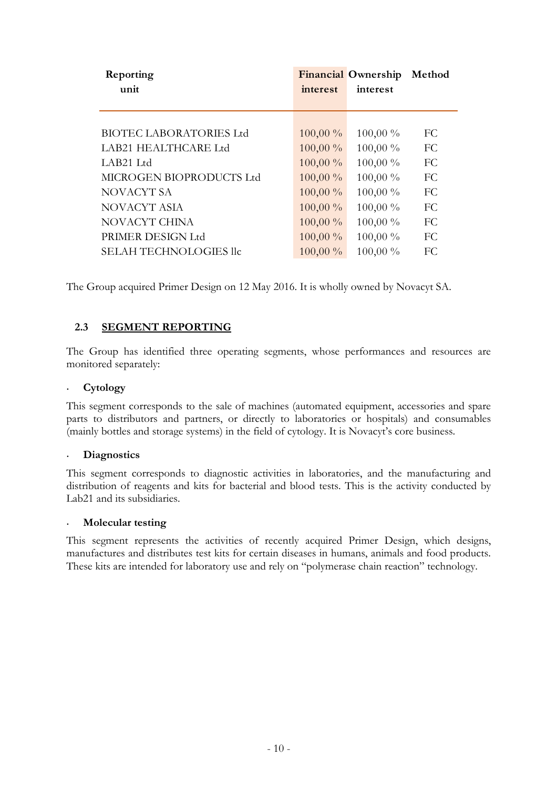| Reporting                      |            | <b>Financial Ownership</b> | Method |
|--------------------------------|------------|----------------------------|--------|
| unit                           | interest   | interest                   |        |
|                                |            |                            |        |
| <b>BIOTEC LABORATORIES Ltd</b> | $100,00\%$ | 100,00 %                   | FC     |
| LAB21 HEALTHCARE Ltd           | 100,00 %   | 100,00 %                   | FC     |
| LAB21 Ltd                      | $100,00\%$ | 100,00 %                   | FC     |
| MICROGEN BIOPRODUCTS Ltd       | $100,00\%$ | 100,00 %                   | FC     |
| NOVACYT SA                     | 100,00 %   | 100,00 %                   | FC     |
| NOVACYT ASIA                   | $100,00\%$ | 100,00 %                   | FC     |
| NOVACYT CHINA                  | $100,00\%$ | 100,00 %                   | FC     |
| PRIMER DESIGN Ltd              | $100,00\%$ | 100,00 %                   | FC     |
| SELAH TECHNOLOGIES llc         | 100,00 %   | 100,00 %                   | FC     |
|                                |            |                            |        |

The Group acquired Primer Design on 12 May 2016. It is wholly owned by Novacyt SA.

#### **2.3 SEGMENT REPORTING**

The Group has identified three operating segments, whose performances and resources are monitored separately:

#### • **Cytology**

This segment corresponds to the sale of machines (automated equipment, accessories and spare parts to distributors and partners, or directly to laboratories or hospitals) and consumables (mainly bottles and storage systems) in the field of cytology. It is Novacyt's core business.

#### • **Diagnostics**

This segment corresponds to diagnostic activities in laboratories, and the manufacturing and distribution of reagents and kits for bacterial and blood tests. This is the activity conducted by Lab21 and its subsidiaries.

#### • **Molecular testing**

This segment represents the activities of recently acquired Primer Design, which designs, manufactures and distributes test kits for certain diseases in humans, animals and food products. These kits are intended for laboratory use and rely on "polymerase chain reaction" technology.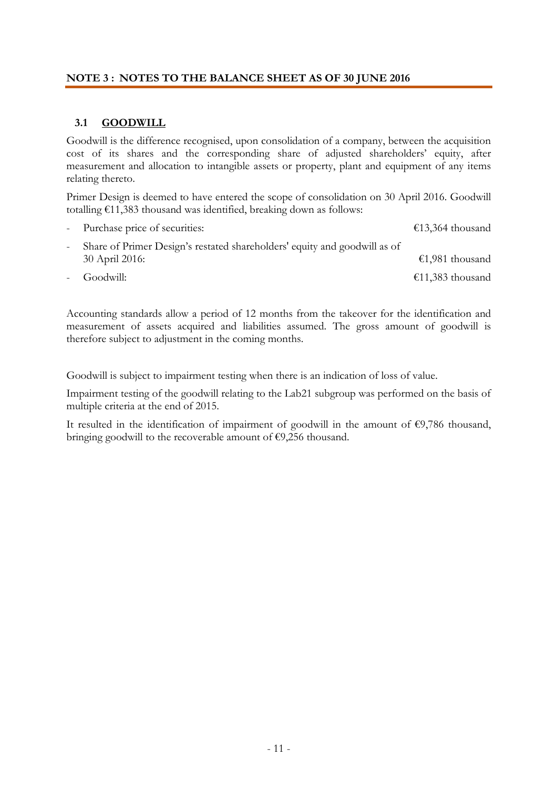#### **NOTE 3 : NOTES TO THE BALANCE SHEET AS OF 30 JUNE 2016**

#### **3.1 GOODWILL**

Goodwill is the difference recognised, upon consolidation of a company, between the acquisition cost of its shares and the corresponding share of adjusted shareholders' equity, after measurement and allocation to intangible assets or property, plant and equipment of any items relating thereto.

Primer Design is deemed to have entered the scope of consolidation on 30 April 2016. Goodwill totalling €11,383 thousand was identified, breaking down as follows:

| - Purchase price of securities:                                                             | €13,364 thousand |
|---------------------------------------------------------------------------------------------|------------------|
| Share of Primer Design's restated shareholders' equity and goodwill as of<br>30 April 2016: | €1,981 thousand  |
| - Goodwill:                                                                                 | €11,383 thousand |

Accounting standards allow a period of 12 months from the takeover for the identification and measurement of assets acquired and liabilities assumed. The gross amount of goodwill is therefore subject to adjustment in the coming months.

Goodwill is subject to impairment testing when there is an indication of loss of value.

Impairment testing of the goodwill relating to the Lab21 subgroup was performed on the basis of multiple criteria at the end of 2015.

It resulted in the identification of impairment of goodwill in the amount of  $\epsilon$ 9,786 thousand, bringing goodwill to the recoverable amount of €9,256 thousand.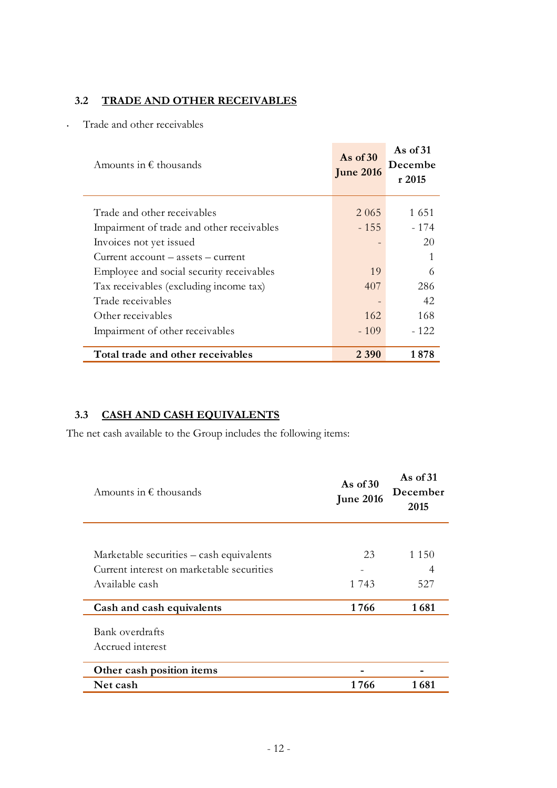#### **3.2 TRADE AND OTHER RECEIVABLES**

• Trade and other receivables

| Amounts in $\epsilon$ thousands           | As of $30$<br><b>June 2016</b> | As of $31$<br>Decembe<br>r2015 |
|-------------------------------------------|--------------------------------|--------------------------------|
| Trade and other receivables               | 2 0 6 5                        | 1 651                          |
| Impairment of trade and other receivables | $-155$                         | - 174                          |
| Invoices not yet issued                   |                                | 20                             |
| $Current account - assets - current$      |                                | 1                              |
| Employee and social security receivables  | 19                             | 6                              |
| Tax receivables (excluding income tax)    | 407                            | 286                            |
| Trade receivables                         |                                | 42                             |
| Other receivables                         | 162                            | 168                            |
| Impairment of other receivables           | $-109$                         | $-122$                         |
| Total trade and other receivables         | 2 3 9 0                        | 1878                           |

#### **3.3 CASH AND CASH EQUIVALENTS**

The net cash available to the Group includes the following items:

| Amounts in $\epsilon$ thousands           | As of $30$<br><b>June 2016</b> | As of $31$<br>December<br>2015 |  |
|-------------------------------------------|--------------------------------|--------------------------------|--|
|                                           |                                |                                |  |
| Marketable securities – cash equivalents  | 23                             | 1 1 5 0                        |  |
| Current interest on marketable securities |                                | 4                              |  |
| Available cash                            | 1 743                          | 527                            |  |
| Cash and cash equivalents                 | 1766                           | 1681                           |  |
| Bank overdrafts                           |                                |                                |  |
| Accrued interest                          |                                |                                |  |
| Other cash position items                 |                                |                                |  |
| Net cash                                  | 1766                           | 1 681                          |  |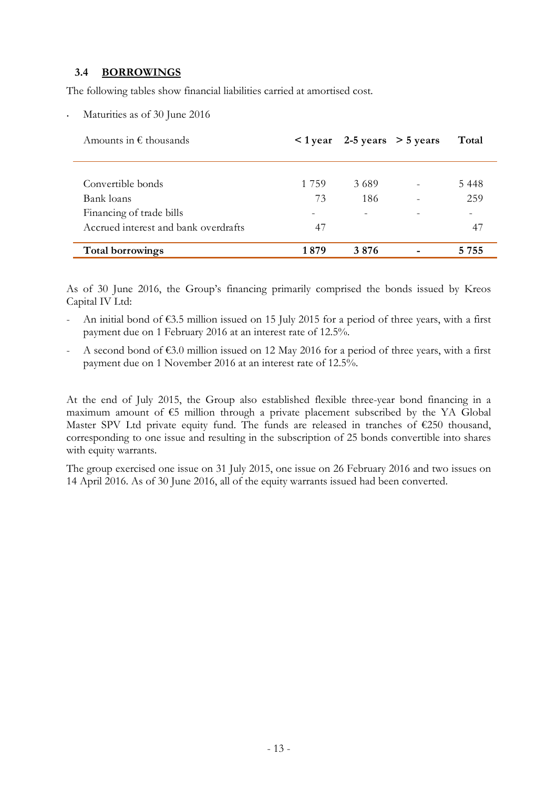#### **3.4 BORROWINGS**

The following tables show financial liabilities carried at amortised cost.

Maturities as of 30 June 2016

| Amounts in $\epsilon$ thousands      |                          | $\langle$ 1 year 2-5 years $>$ 5 years | Total   |
|--------------------------------------|--------------------------|----------------------------------------|---------|
|                                      |                          |                                        |         |
| Convertible bonds                    | 1 7 5 9                  | 3.689                                  | 5448    |
| Bank loans                           | 73                       | 186                                    | 259     |
| Financing of trade bills             | $\overline{\phantom{0}}$ | $\overline{\phantom{0}}$               |         |
| Accrued interest and bank overdrafts | 47                       |                                        | 47      |
| <b>Total borrowings</b>              | 1879                     | 3876                                   | 5 7 5 5 |

As of 30 June 2016, the Group's financing primarily comprised the bonds issued by Kreos Capital IV Ltd:

- An initial bond of  $\epsilon$ 3.5 million issued on 15 July 2015 for a period of three years, with a first payment due on 1 February 2016 at an interest rate of 12.5%.
- A second bond of  $\epsilon$ 3.0 million issued on 12 May 2016 for a period of three years, with a first payment due on 1 November 2016 at an interest rate of 12.5%.

At the end of July 2015, the Group also established flexible three-year bond financing in a maximum amount of €5 million through a private placement subscribed by the YA Global Master SPV Ltd private equity fund. The funds are released in tranches of  $\epsilon$ 250 thousand, corresponding to one issue and resulting in the subscription of 25 bonds convertible into shares with equity warrants.

The group exercised one issue on 31 July 2015, one issue on 26 February 2016 and two issues on 14 April 2016. As of 30 June 2016, all of the equity warrants issued had been converted.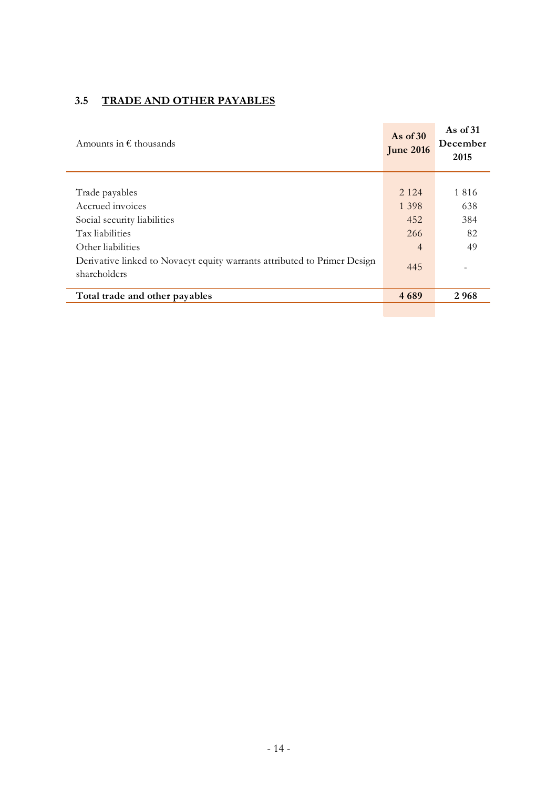## **3.5 TRADE AND OTHER PAYABLES**

| Amounts in $\epsilon$ thousands                                                         | As of $30$<br><b>June 2016</b> | As of $31$<br>December<br>2015 |
|-----------------------------------------------------------------------------------------|--------------------------------|--------------------------------|
|                                                                                         |                                |                                |
| Trade payables                                                                          | 2 1 2 4                        | 1816                           |
| Accrued invoices                                                                        | 1 3 9 8                        | 638                            |
| Social security liabilities                                                             | 452                            | 384                            |
| Tax liabilities                                                                         | 266                            | 82                             |
| Other liabilities                                                                       | $\overline{4}$                 | 49                             |
| Denvative linked to Novacyt equity warrants attributed to Primer Design<br>shareholders | 445                            |                                |
| Total trade and other payables                                                          | 4689                           | 2968                           |
|                                                                                         |                                |                                |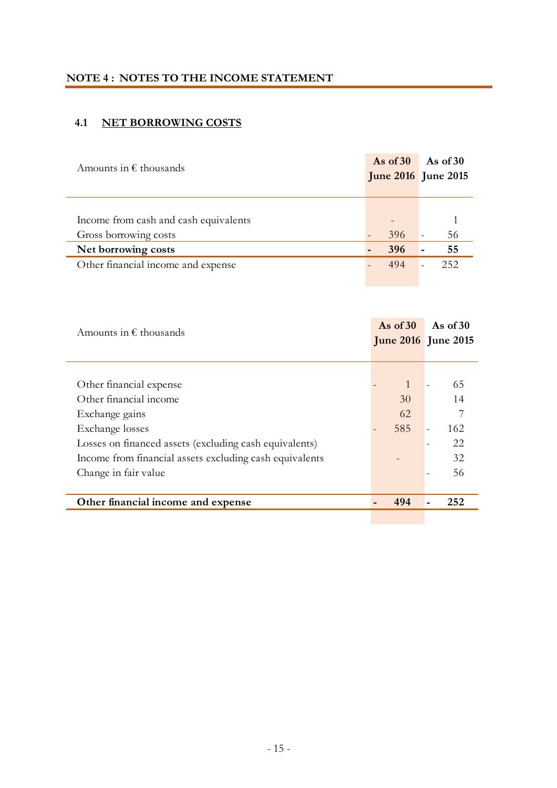### **NOTE 4 : NOTES TO THE INCOME STATEMENT**

## **4.1 NET BORROWING COSTS**

| Amounts in $\epsilon$ thousands       | As of $30$                 | As of $30$ |
|---------------------------------------|----------------------------|------------|
|                                       | <b>June 2016</b> June 2015 |            |
|                                       |                            |            |
|                                       |                            |            |
| Income from cash and cash equivalents |                            |            |
| Gross borrowing costs                 | 396                        | 56         |
| Net borrowing costs                   | 396                        | 55         |
| Other financial income and expense    | 494                        | 252        |
|                                       |                            |            |

| Amounts in $\epsilon$ thousands                         | As of $30$   | As of $30$<br><b>June 2016</b> June 2015 |
|---------------------------------------------------------|--------------|------------------------------------------|
|                                                         |              |                                          |
| Other financial expense                                 | $\mathbf{1}$ | 65                                       |
| Other financial income                                  | 30           | 14                                       |
| Exchange gains                                          | 62           |                                          |
| Exchange losses                                         | 585          | 162                                      |
| Losses on financed assets (excluding cash equivalents)  |              | 22                                       |
| Income from financial assets excluding cash equivalents |              | 32                                       |
| Change in fair value                                    |              | 56                                       |
|                                                         |              |                                          |
| Other financial income and expense                      | 494          | 252                                      |
|                                                         |              |                                          |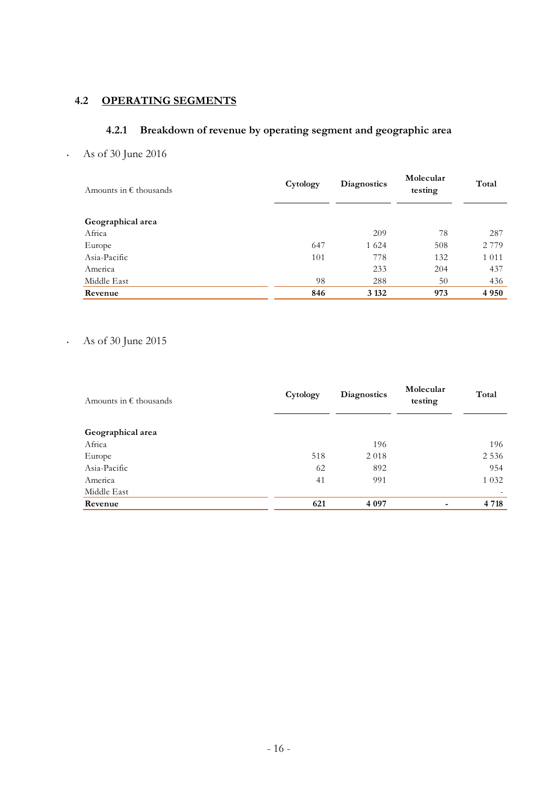## **4.2 OPERATING SEGMENTS**

### **4.2.1 Breakdown of revenue by operating segment and geographic area**

• As of 30 June 2016

| Amounts in $\epsilon$ thousands | Cytology | <b>Diagnostics</b> | Molecular<br>testing | Total   |
|---------------------------------|----------|--------------------|----------------------|---------|
| Geographical area               |          |                    |                      |         |
| Africa                          |          | 209                | 78                   | 287     |
| Europe                          | 647      | 1 6 2 4            | 508                  | 2 7 7 9 |
| Asia-Pacific                    | 101      | 778                | 132                  | 1 0 1 1 |
| America                         |          | 233                | 204                  | 437     |
| Middle East                     | 98       | 288                | 50                   | 436     |
| Revenue                         | 846      | 3 1 3 2            | 973                  | 4 9 5 0 |

### • As of 30 June 2015

| Amounts in $\epsilon$ thousands | Cytology | <b>Diagnostics</b> | Molecular<br>testing | Total   |
|---------------------------------|----------|--------------------|----------------------|---------|
| Geographical area               |          |                    |                      |         |
| Africa                          |          | 196                |                      | 196     |
| Europe                          | 518      | 2018               |                      | 2 5 3 6 |
| Asia-Pacific                    | 62       | 892                |                      | 954     |
| America                         | 41       | 991                |                      | 1 0 3 2 |
| Middle East                     |          |                    |                      |         |
| Revenue                         | 621      | 4 0 9 7            |                      | 4 7 1 8 |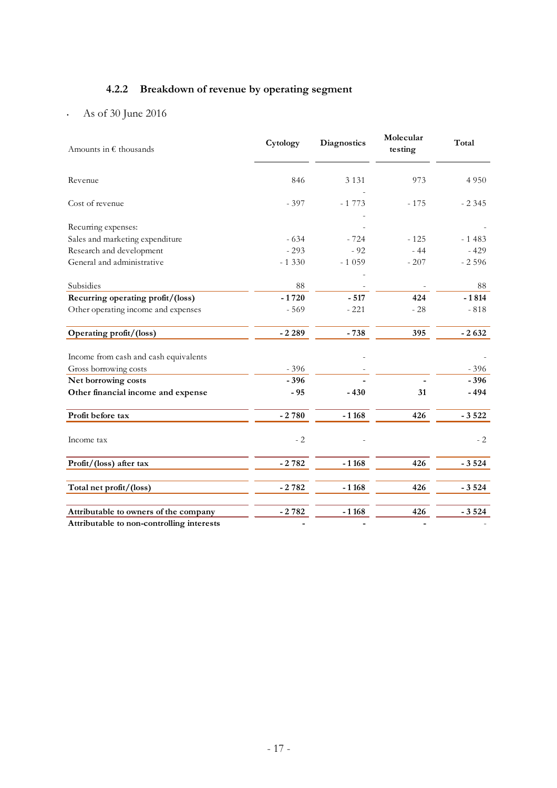## **4.2.2 Breakdown of revenue by operating segment**

• As of 30 June 2016

| Amounts in $\epsilon$ thousands           | Cytology | <b>Diagnostics</b> | Molecular<br>testing | Total   |
|-------------------------------------------|----------|--------------------|----------------------|---------|
| Revenue                                   | 846      | 3 1 3 1            | 973                  | 4 9 5 0 |
| Cost of revenue                           | $-397$   | $-1773$            | $-175$               | $-2345$ |
| Recurring expenses:                       |          |                    |                      |         |
| Sales and marketing expenditure           | $-634$   | $-724$             | $-125$               | $-1483$ |
| Research and development                  | $-293$   | $-92$              | $-44$                | $-429$  |
| General and administrative                | $-1330$  | $-1059$            | $-207$               | $-2596$ |
|                                           |          |                    |                      |         |
| Subsidies                                 | 88       |                    |                      | 88      |
| Recurring operating profit/(loss)         | $-1720$  | $-517$             | 424                  | $-1814$ |
| Other operating income and expenses       | $-569$   | $-221$             | $-28$                | $-818$  |
| Operating profit/(loss)                   | $-2.289$ | $-738$             | 395                  | $-2632$ |
| Income from cash and cash equivalents     |          |                    |                      |         |
| Gross borrowing costs                     | $-396$   |                    |                      | $-396$  |
| Net borrowing costs                       | $-396$   |                    |                      | $-396$  |
| Other financial income and expense        | $-95$    | $-430$             | 31                   | $-494$  |
| Profit before tax                         | $-2780$  | $-1168$            | 426                  | $-3522$ |
| Income tax                                | $-2$     |                    |                      | $-2$    |
| Profit/(loss) after tax                   | $-2782$  | $-1168$            | 426                  | $-3524$ |
| Total net profit/(loss)                   | $-2782$  | $-1168$            | 426                  | $-3524$ |
| Attributable to owners of the company     | $-2782$  | $-1168$            | 426                  | $-3524$ |
| Attributable to non-controlling interests |          |                    |                      |         |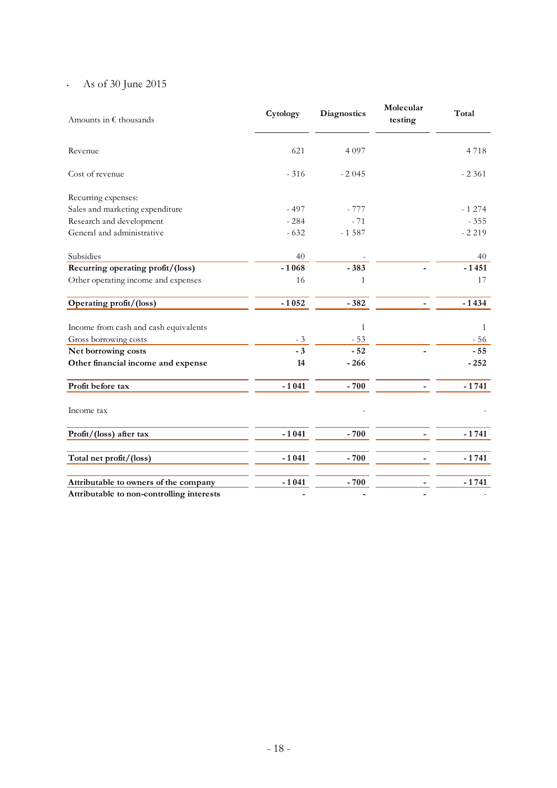## • As of 30 June 2015

| Amounts in $\epsilon$ thousands           | Cytology | <b>Diagnostics</b> | Molecular<br>testing | Total    |
|-------------------------------------------|----------|--------------------|----------------------|----------|
| Revenue                                   | 621      | 4 0 9 7            |                      | 4718     |
| Cost of revenue                           | $-316$   | $-2045$            |                      | $-2.361$ |
| Recurring expenses:                       |          |                    |                      |          |
| Sales and marketing expenditure           | $-497$   | $-777$             |                      | $-1274$  |
| Research and development                  | $-284$   | $-71$              |                      | $-355$   |
| General and administrative                | $-632$   | $-1587$            |                      | $-2219$  |
| Subsidies                                 | 40       |                    |                      | 40       |
| Recurring operating profit/(loss)         | $-1068$  | $-383$             |                      | $-1451$  |
| Other operating income and expenses       | 16       | 1                  |                      | 17       |
| Operating profit/(loss)                   | $-1052$  | $-382$             |                      | $-1434$  |
| Income from cash and cash equivalents     |          | $\mathbf{1}$       |                      | 1        |
| Gross borrowing costs                     | $-3$     | $-53$              |                      | - 56     |
| Net borrowing costs                       | $-3$     | $-52$              |                      | $-55$    |
| Other financial income and expense        | 14       | $-266$             |                      | $-252$   |
| Profit before tax                         | $-1041$  | $-700$             |                      | $-1741$  |
| Income tax                                |          |                    |                      |          |
| Profit/(loss) after tax                   | $-1041$  | $-700$             |                      | $-1741$  |
| Total net profit/(loss)                   | $-1041$  | $-700$             |                      | $-1741$  |
| Attributable to owners of the company     | $-1041$  | $-700$             |                      | $-1741$  |
| Attributable to non-controlling interests |          |                    |                      |          |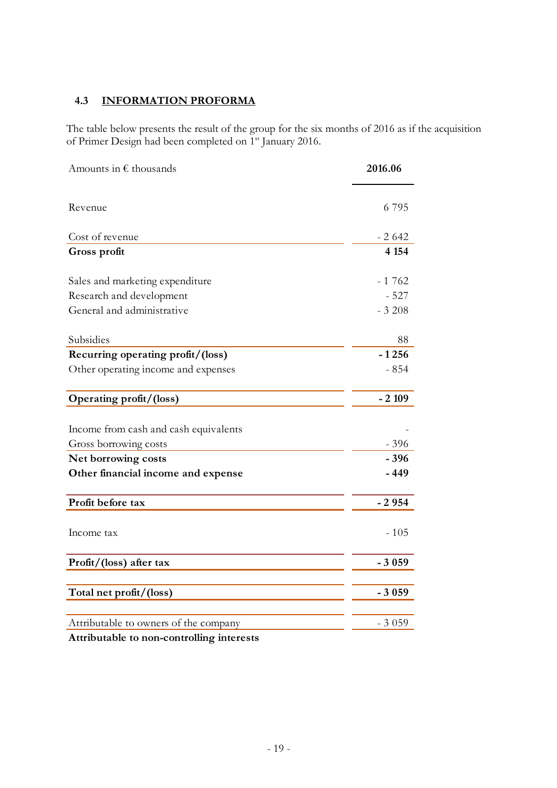### **4.3 INFORMATION PROFORMA**

The table below presents the result of the group for the six months of 2016 as if the acquisition of Primer Design had been completed on 1st January 2016.

| Amounts in $\epsilon$ thousands       | 2016.06 |
|---------------------------------------|---------|
| Revenue                               | 6795    |
| Cost of revenue                       | $-2642$ |
| Gross profit                          | 4 1 5 4 |
| Sales and marketing expenditure       | $-1762$ |
| Research and development              | $-527$  |
| General and administrative            | $-3208$ |
| Subsidies                             | 88      |
| Recurring operating profit/(loss)     | $-1256$ |
| Other operating income and expenses   | $-854$  |
| Operating profit/(loss)               | $-2109$ |
| Income from cash and cash equivalents |         |
| Gross borrowing costs                 | $-396$  |
| Net borrowing costs                   | $-396$  |
| Other financial income and expense    | $-449$  |
| Profit before tax                     | $-2954$ |
| Income tax                            | $-105$  |
| Profit/(loss) after tax               | $-3059$ |
| Total net profit/(loss)               | $-3059$ |
|                                       |         |
| Attributable to owners of the company | $-3059$ |

**Attributable to non-controlling interests**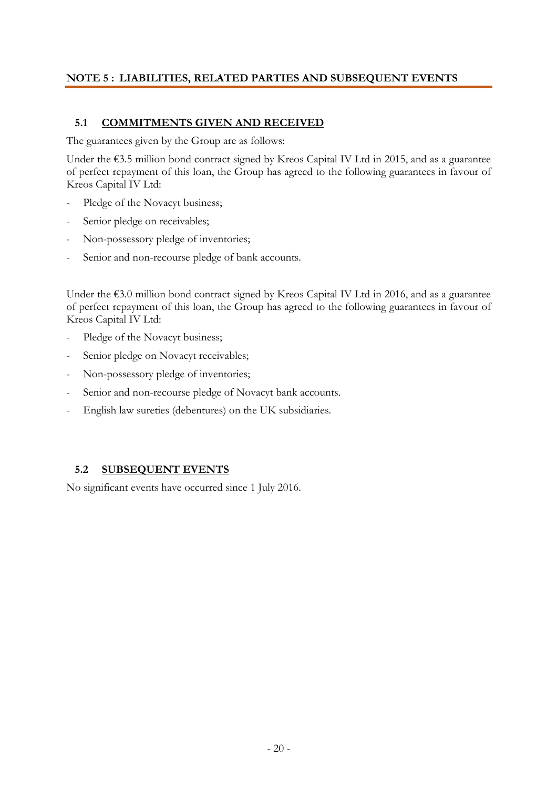#### **NOTE 5 : LIABILITIES, RELATED PARTIES AND SUBSEQUENT EVENTS**

#### **5.1 COMMITMENTS GIVEN AND RECEIVED**

The guarantees given by the Group are as follows:

Under the €3.5 million bond contract signed by Kreos Capital IV Ltd in 2015, and as a guarantee of perfect repayment of this loan, the Group has agreed to the following guarantees in favour of Kreos Capital IV Ltd:

- Pledge of the Novacyt business;
- Senior pledge on receivables;
- Non-possessory pledge of inventories;
- Senior and non-recourse pledge of bank accounts.

Under the  $\epsilon$ 3.0 million bond contract signed by Kreos Capital IV Ltd in 2016, and as a guarantee of perfect repayment of this loan, the Group has agreed to the following guarantees in favour of Kreos Capital IV Ltd:

- Pledge of the Novacyt business;
- Senior pledge on Novacyt receivables;
- Non-possessory pledge of inventories;
- Senior and non-recourse pledge of Novacyt bank accounts.
- English law sureties (debentures) on the UK subsidiaries.

#### **5.2 SUBSEQUENT EVENTS**

No significant events have occurred since 1 July 2016.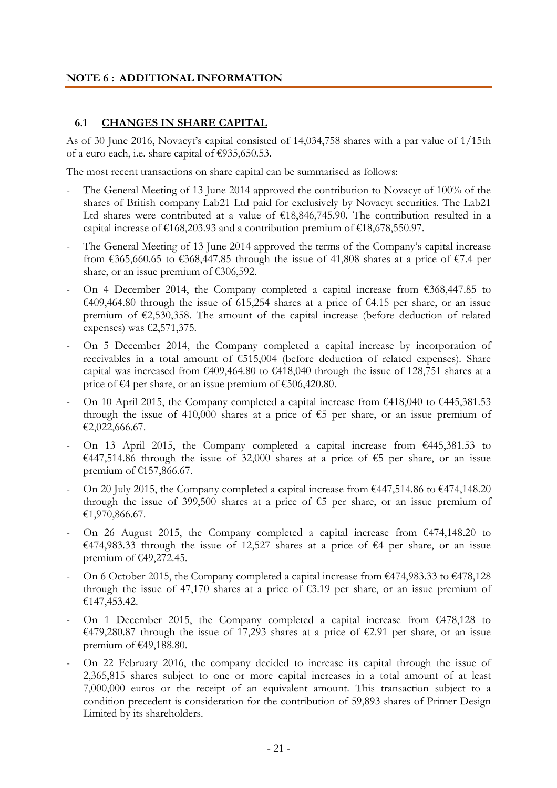#### **NOTE 6 : ADDITIONAL INFORMATION**

#### **6.1 CHANGES IN SHARE CAPITAL**

As of 30 June 2016, Novacyt's capital consisted of 14,034,758 shares with a par value of 1/15th of a euro each, i.e. share capital of €935,650.53.

The most recent transactions on share capital can be summarised as follows:

- The General Meeting of 13 June 2014 approved the contribution to Novacyt of 100% of the shares of British company Lab21 Ltd paid for exclusively by Novacyt securities. The Lab21 Ltd shares were contributed at a value of  $£18,846,745.90$ . The contribution resulted in a capital increase of  $\text{\textsterling}168,203.93$  and a contribution premium of  $\text{\textsterling}18,678,550.97$ .
- The General Meeting of 13 June 2014 approved the terms of the Company's capital increase from  $\epsilon$ 365,660.65 to  $\epsilon$ 368,447.85 through the issue of 41,808 shares at a price of  $\epsilon$ 7.4 per share, or an issue premium of €306,592.
- On 4 December 2014, the Company completed a capital increase from  $\epsilon$ 368,447.85 to €409,464.80 through the issue of 615,254 shares at a price of €4.15 per share, or an issue premium of €2,530,358. The amount of the capital increase (before deduction of related expenses) was  $\epsilon$ 2,571,375.
- On 5 December 2014, the Company completed a capital increase by incorporation of receivables in a total amount of €515,004 (before deduction of related expenses). Share capital was increased from  $\epsilon$ 409,464.80 to  $\epsilon$ 418,040 through the issue of 128,751 shares at a price of €4 per share, or an issue premium of €506,420.80.
- On 10 April 2015, the Company completed a capital increase from  $\epsilon$ 418,040 to  $\epsilon$ 445,381.53 through the issue of 410,000 shares at a price of  $\epsilon$ 5 per share, or an issue premium of €2,022,666.67.
- On 13 April 2015, the Company completed a capital increase from  $\epsilon$ 445,381.53 to €447,514.86 through the issue of 32,000 shares at a price of €5 per share, or an issue premium of €157,866.67.
- On 20 July 2015, the Company completed a capital increase from  $\epsilon$ 447,514.86 to  $\epsilon$ 474,148.20 through the issue of 399,500 shares at a price of  $\epsilon$ 5 per share, or an issue premium of €1,970,866.67.
- On 26 August 2015, the Company completed a capital increase from  $\epsilon$ 474,148.20 to €474,983.33 through the issue of 12,527 shares at a price of €4 per share, or an issue premium of €49,272.45.
- On 6 October 2015, the Company completed a capital increase from  $\epsilon$ 474,983.33 to  $\epsilon$ 478,128 through the issue of 47,170 shares at a price of  $\epsilon$ 3.19 per share, or an issue premium of €147,453.42.
- On 1 December 2015, the Company completed a capital increase from  $\epsilon$ 478,128 to €479,280.87 through the issue of 17,293 shares at a price of €2.91 per share, or an issue premium of €49,188.80.
- On 22 February 2016, the company decided to increase its capital through the issue of 2,365,815 shares subject to one or more capital increases in a total amount of at least 7,000,000 euros or the receipt of an equivalent amount. This transaction subject to a condition precedent is consideration for the contribution of 59,893 shares of Primer Design Limited by its shareholders.